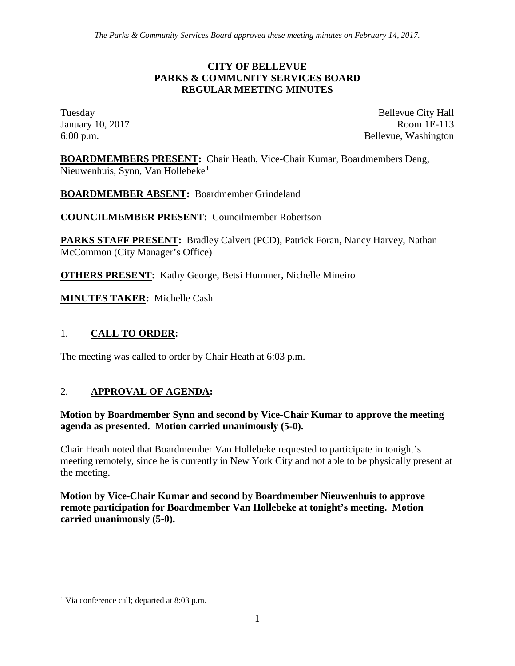#### **CITY OF BELLEVUE PARKS & COMMUNITY SERVICES BOARD REGULAR MEETING MINUTES**

Tuesday Bellevue City Hall January 10, 2017 Room 1E-113 6:00 p.m. Bellevue, Washington

**BOARDMEMBERS PRESENT:** Chair Heath, Vice-Chair Kumar, Boardmembers Deng, Nieuwenhuis, Synn, Van Hollebeke<sup>[1](#page-0-0)</sup>

**BOARDMEMBER ABSENT:** Boardmember Grindeland

**COUNCILMEMBER PRESENT:** Councilmember Robertson

**PARKS STAFF PRESENT:** Bradley Calvert (PCD), Patrick Foran, Nancy Harvey, Nathan McCommon (City Manager's Office)

**OTHERS PRESENT:** Kathy George, Betsi Hummer, Nichelle Mineiro

**MINUTES TAKER:** Michelle Cash

## 1. **CALL TO ORDER:**

The meeting was called to order by Chair Heath at 6:03 p.m.

# 2. **APPROVAL OF AGENDA:**

#### **Motion by Boardmember Synn and second by Vice-Chair Kumar to approve the meeting agenda as presented. Motion carried unanimously (5-0).**

Chair Heath noted that Boardmember Van Hollebeke requested to participate in tonight's meeting remotely, since he is currently in New York City and not able to be physically present at the meeting.

**Motion by Vice-Chair Kumar and second by Boardmember Nieuwenhuis to approve remote participation for Boardmember Van Hollebeke at tonight's meeting. Motion carried unanimously (5-0).**

<span id="page-0-0"></span><sup>&</sup>lt;sup>1</sup> Via conference call; departed at 8:03 p.m.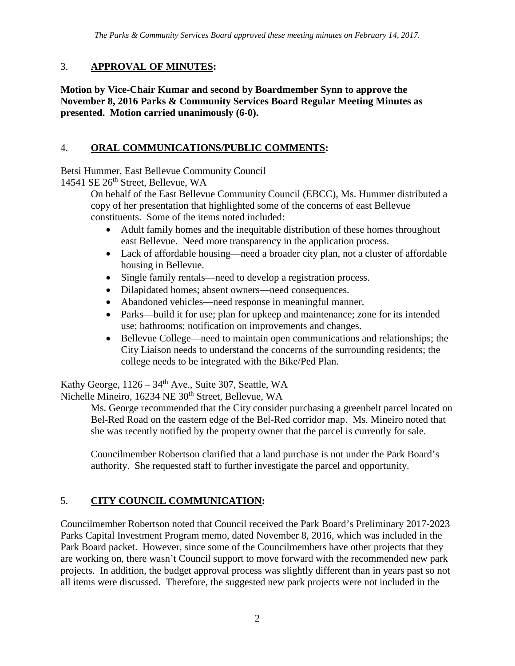## 3. **APPROVAL OF MINUTES:**

**Motion by Vice-Chair Kumar and second by Boardmember Synn to approve the November 8, 2016 Parks & Community Services Board Regular Meeting Minutes as presented. Motion carried unanimously (6-0).**

## 4. **ORAL COMMUNICATIONS/PUBLIC COMMENTS:**

Betsi Hummer, East Bellevue Community Council

14541 SE 26<sup>th</sup> Street, Bellevue, WA

On behalf of the East Bellevue Community Council (EBCC), Ms. Hummer distributed a copy of her presentation that highlighted some of the concerns of east Bellevue constituents. Some of the items noted included:

- Adult family homes and the inequitable distribution of these homes throughout east Bellevue. Need more transparency in the application process.
- Lack of affordable housing—need a broader city plan, not a cluster of affordable housing in Bellevue.
- Single family rentals—need to develop a registration process.
- Dilapidated homes; absent owners—need consequences.
- Abandoned vehicles—need response in meaningful manner.
- Parks—build it for use; plan for upkeep and maintenance; zone for its intended use; bathrooms; notification on improvements and changes.
- Bellevue College—need to maintain open communications and relationships; the City Liaison needs to understand the concerns of the surrounding residents; the college needs to be integrated with the Bike/Ped Plan.

Kathy George,  $1126 - 34$ <sup>th</sup> Ave., Suite 307, Seattle, WA Nichelle Mineiro, 16234 NE 30<sup>th</sup> Street, Bellevue, WA

Ms. George recommended that the City consider purchasing a greenbelt parcel located on Bel-Red Road on the eastern edge of the Bel-Red corridor map. Ms. Mineiro noted that she was recently notified by the property owner that the parcel is currently for sale.

Councilmember Robertson clarified that a land purchase is not under the Park Board's authority. She requested staff to further investigate the parcel and opportunity.

# 5. **CITY COUNCIL COMMUNICATION:**

Councilmember Robertson noted that Council received the Park Board's Preliminary 2017-2023 Parks Capital Investment Program memo, dated November 8, 2016, which was included in the Park Board packet. However, since some of the Councilmembers have other projects that they are working on, there wasn't Council support to move forward with the recommended new park projects. In addition, the budget approval process was slightly different than in years past so not all items were discussed. Therefore, the suggested new park projects were not included in the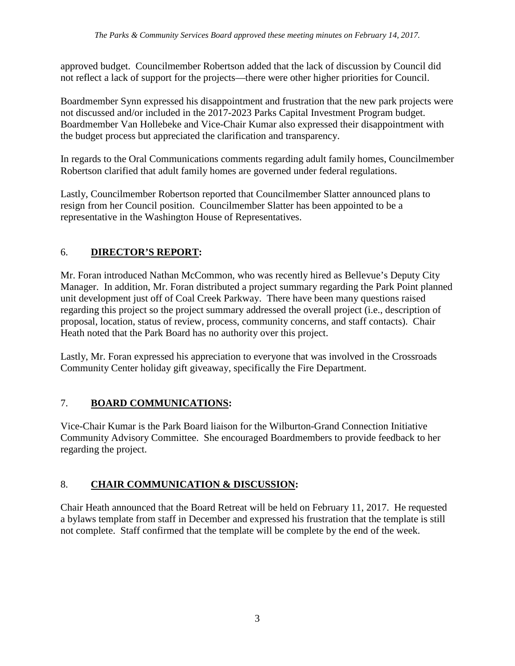approved budget. Councilmember Robertson added that the lack of discussion by Council did not reflect a lack of support for the projects—there were other higher priorities for Council.

Boardmember Synn expressed his disappointment and frustration that the new park projects were not discussed and/or included in the 2017-2023 Parks Capital Investment Program budget. Boardmember Van Hollebeke and Vice-Chair Kumar also expressed their disappointment with the budget process but appreciated the clarification and transparency.

In regards to the Oral Communications comments regarding adult family homes, Councilmember Robertson clarified that adult family homes are governed under federal regulations.

Lastly, Councilmember Robertson reported that Councilmember Slatter announced plans to resign from her Council position. Councilmember Slatter has been appointed to be a representative in the Washington House of Representatives.

# 6. **DIRECTOR'S REPORT:**

Mr. Foran introduced Nathan McCommon, who was recently hired as Bellevue's Deputy City Manager. In addition, Mr. Foran distributed a project summary regarding the Park Point planned unit development just off of Coal Creek Parkway. There have been many questions raised regarding this project so the project summary addressed the overall project (i.e., description of proposal, location, status of review, process, community concerns, and staff contacts). Chair Heath noted that the Park Board has no authority over this project.

Lastly, Mr. Foran expressed his appreciation to everyone that was involved in the Crossroads Community Center holiday gift giveaway, specifically the Fire Department.

# 7. **BOARD COMMUNICATIONS:**

Vice-Chair Kumar is the Park Board liaison for the Wilburton-Grand Connection Initiative Community Advisory Committee. She encouraged Boardmembers to provide feedback to her regarding the project.

# 8. **CHAIR COMMUNICATION & DISCUSSION:**

Chair Heath announced that the Board Retreat will be held on February 11, 2017. He requested a bylaws template from staff in December and expressed his frustration that the template is still not complete. Staff confirmed that the template will be complete by the end of the week.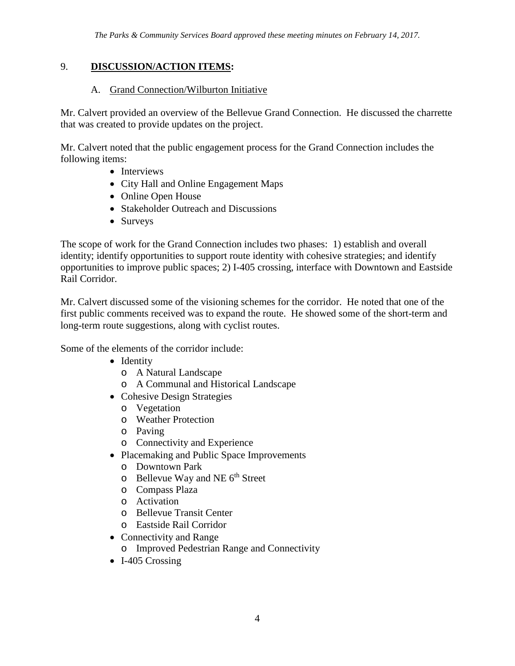#### 9. **DISCUSSION/ACTION ITEMS:**

#### A. Grand Connection/Wilburton Initiative

Mr. Calvert provided an overview of the Bellevue Grand Connection. He discussed the charrette that was created to provide updates on the project.

Mr. Calvert noted that the public engagement process for the Grand Connection includes the following items:

- Interviews
- City Hall and Online Engagement Maps
- Online Open House
- Stakeholder Outreach and Discussions
- Surveys

The scope of work for the Grand Connection includes two phases: 1) establish and overall identity; identify opportunities to support route identity with cohesive strategies; and identify opportunities to improve public spaces; 2) I-405 crossing, interface with Downtown and Eastside Rail Corridor.

Mr. Calvert discussed some of the visioning schemes for the corridor. He noted that one of the first public comments received was to expand the route. He showed some of the short-term and long-term route suggestions, along with cyclist routes.

Some of the elements of the corridor include:

- Identity
	- o A Natural Landscape
	- o A Communal and Historical Landscape
- Cohesive Design Strategies
	- o Vegetation
	- o Weather Protection
	- o Paving
	- o Connectivity and Experience
- Placemaking and Public Space Improvements
	- o Downtown Park
	- $\circ$  Bellevue Way and NE  $6<sup>th</sup>$  Street
	- o Compass Plaza
	- o Activation
	- o Bellevue Transit Center
	- o Eastside Rail Corridor
- Connectivity and Range
	- o Improved Pedestrian Range and Connectivity
- I-405 Crossing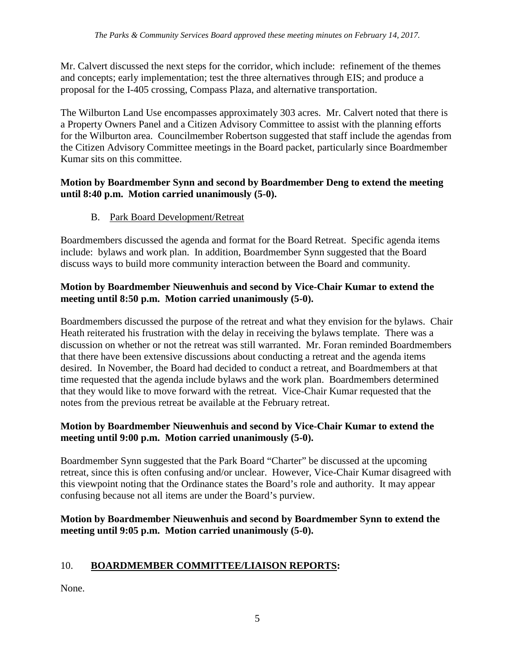Mr. Calvert discussed the next steps for the corridor, which include: refinement of the themes and concepts; early implementation; test the three alternatives through EIS; and produce a proposal for the I-405 crossing, Compass Plaza, and alternative transportation.

The Wilburton Land Use encompasses approximately 303 acres. Mr. Calvert noted that there is a Property Owners Panel and a Citizen Advisory Committee to assist with the planning efforts for the Wilburton area. Councilmember Robertson suggested that staff include the agendas from the Citizen Advisory Committee meetings in the Board packet, particularly since Boardmember Kumar sits on this committee.

#### **Motion by Boardmember Synn and second by Boardmember Deng to extend the meeting until 8:40 p.m. Motion carried unanimously (5-0).**

B. Park Board Development/Retreat

Boardmembers discussed the agenda and format for the Board Retreat. Specific agenda items include: bylaws and work plan. In addition, Boardmember Synn suggested that the Board discuss ways to build more community interaction between the Board and community.

## **Motion by Boardmember Nieuwenhuis and second by Vice-Chair Kumar to extend the meeting until 8:50 p.m. Motion carried unanimously (5-0).**

Boardmembers discussed the purpose of the retreat and what they envision for the bylaws. Chair Heath reiterated his frustration with the delay in receiving the bylaws template. There was a discussion on whether or not the retreat was still warranted. Mr. Foran reminded Boardmembers that there have been extensive discussions about conducting a retreat and the agenda items desired. In November, the Board had decided to conduct a retreat, and Boardmembers at that time requested that the agenda include bylaws and the work plan. Boardmembers determined that they would like to move forward with the retreat. Vice-Chair Kumar requested that the notes from the previous retreat be available at the February retreat.

## **Motion by Boardmember Nieuwenhuis and second by Vice-Chair Kumar to extend the meeting until 9:00 p.m. Motion carried unanimously (5-0).**

Boardmember Synn suggested that the Park Board "Charter" be discussed at the upcoming retreat, since this is often confusing and/or unclear. However, Vice-Chair Kumar disagreed with this viewpoint noting that the Ordinance states the Board's role and authority. It may appear confusing because not all items are under the Board's purview.

## **Motion by Boardmember Nieuwenhuis and second by Boardmember Synn to extend the meeting until 9:05 p.m. Motion carried unanimously (5-0).**

# 10. **BOARDMEMBER COMMITTEE/LIAISON REPORTS:**

None.